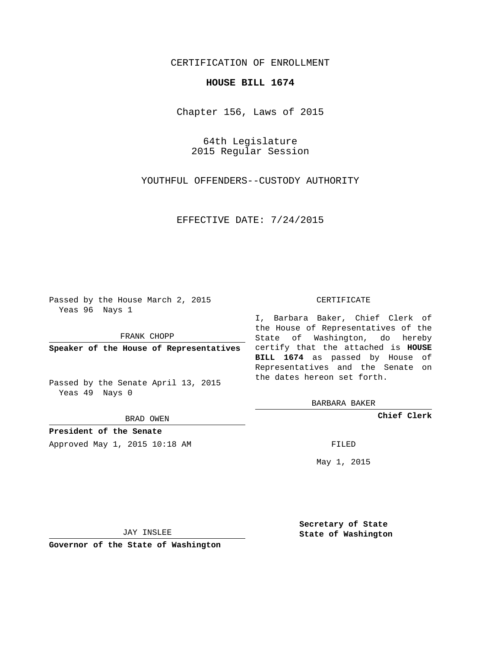# CERTIFICATION OF ENROLLMENT

## **HOUSE BILL 1674**

Chapter 156, Laws of 2015

64th Legislature 2015 Regular Session

YOUTHFUL OFFENDERS--CUSTODY AUTHORITY

EFFECTIVE DATE: 7/24/2015

Passed by the House March 2, 2015 Yeas 96 Nays 1

FRANK CHOPP

Passed by the Senate April 13, 2015 Yeas 49 Nays 0

BRAD OWEN

**President of the Senate**

Approved May 1, 2015 10:18 AM FILED

#### CERTIFICATE

**Speaker of the House of Representatives** certify that the attached is **HOUSE** I, Barbara Baker, Chief Clerk of the House of Representatives of the State of Washington, do hereby **BILL 1674** as passed by House of Representatives and the Senate on the dates hereon set forth.

BARBARA BAKER

**Chief Clerk**

May 1, 2015

JAY INSLEE

**Governor of the State of Washington**

**Secretary of State State of Washington**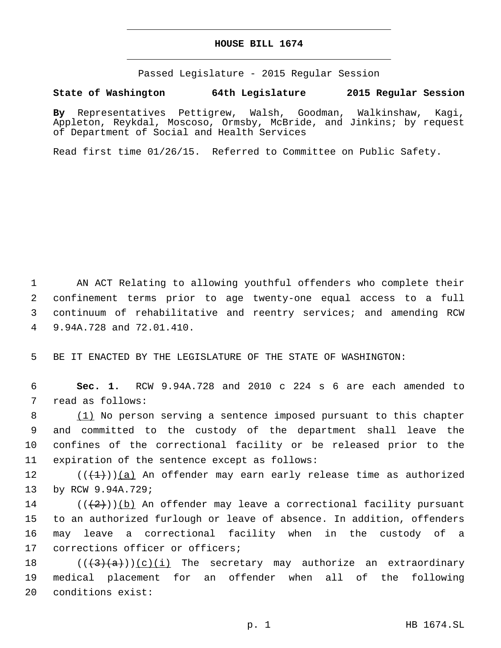### **HOUSE BILL 1674**

Passed Legislature - 2015 Regular Session

## **State of Washington 64th Legislature 2015 Regular Session**

**By** Representatives Pettigrew, Walsh, Goodman, Walkinshaw, Kagi, Appleton, Reykdal, Moscoso, Ormsby, McBride, and Jinkins; by request of Department of Social and Health Services

Read first time 01/26/15. Referred to Committee on Public Safety.

 AN ACT Relating to allowing youthful offenders who complete their confinement terms prior to age twenty-one equal access to a full continuum of rehabilitative and reentry services; and amending RCW 9.94A.728 and 72.01.410.4

5 BE IT ENACTED BY THE LEGISLATURE OF THE STATE OF WASHINGTON:

6 **Sec. 1.** RCW 9.94A.728 and 2010 c 224 s 6 are each amended to 7 read as follows:

 (1) No person serving a sentence imposed pursuant to this chapter and committed to the custody of the department shall leave the confines of the correctional facility or be released prior to the 11 expiration of the sentence except as follows:

12  $((+1))$  (a) An offender may earn early release time as authorized 13 by RCW 9.94A.729;

14 ( $(\frac{2}{2})$ )(b) An offender may leave a correctional facility pursuant 15 to an authorized furlough or leave of absence. In addition, offenders 16 may leave a correctional facility when in the custody of a 17 corrections officer or officers;

18  $((+3)(a))$  (c)(i) The secretary may authorize an extraordinary 19 medical placement for an offender when all of the following 20 conditions exist: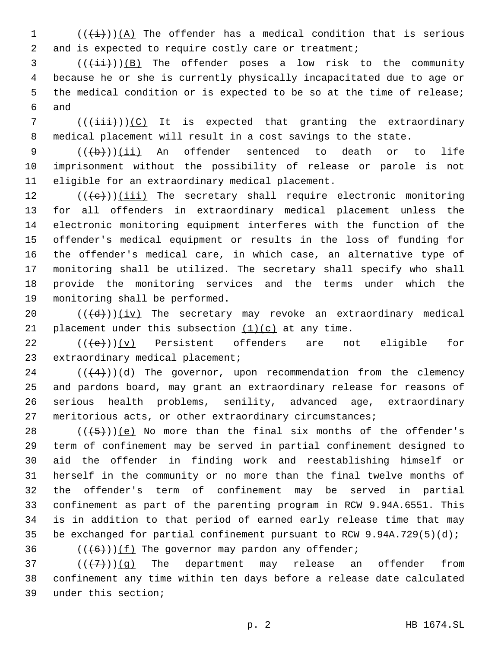(( $\frac{1}{1}$ ))(A) The offender has a medical condition that is serious 2 and is expected to require costly care or treatment;

 (( $(i+i)$ )(B) The offender poses a low risk to the community because he or she is currently physically incapacitated due to age or the medical condition or is expected to be so at the time of release; 6 and

 ( $(\{\pm i\}\})$ )(C) It is expected that granting the extraordinary medical placement will result in a cost savings to the state.

9 (((b)))(ii) An offender sentenced to death or to life imprisonment without the possibility of release or parole is not 11 eligible for an extraordinary medical placement.

 (( $\left( +e+ \right)$ )(iii) The secretary shall require electronic monitoring for all offenders in extraordinary medical placement unless the electronic monitoring equipment interferes with the function of the offender's medical equipment or results in the loss of funding for the offender's medical care, in which case, an alternative type of monitoring shall be utilized. The secretary shall specify who shall provide the monitoring services and the terms under which the 19 monitoring shall be performed.

20  $((+d))$  ( $iv)$  The secretary may revoke an extraordinary medical 21 placement under this subsection  $(1)(c)$  at any time.

22  $((+e+))$ (v) Persistent offenders are not eligible for 23 extraordinary medical placement;

 (( $(4)$ ))(d) The governor, upon recommendation from the clemency and pardons board, may grant an extraordinary release for reasons of serious health problems, senility, advanced age, extraordinary meritorious acts, or other extraordinary circumstances;

 $((+5+))$  (e) No more than the final six months of the offender's term of confinement may be served in partial confinement designed to aid the offender in finding work and reestablishing himself or herself in the community or no more than the final twelve months of the offender's term of confinement may be served in partial confinement as part of the parenting program in RCW 9.94A.6551. This is in addition to that period of earned early release time that may be exchanged for partial confinement pursuant to RCW 9.94A.729(5)(d);

36  $((+6))$   $(f)$  The governor may pardon any offender;

  $((+7+)(g)$  The department may release an offender from confinement any time within ten days before a release date calculated under this section;39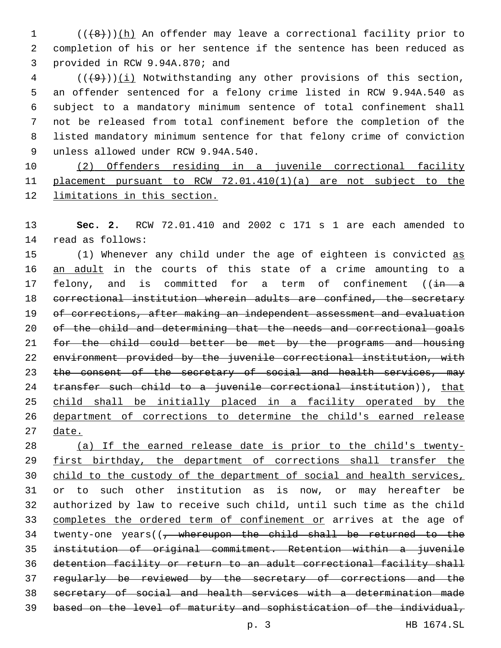1 (((8)))(h) An offender may leave a correctional facility prior to completion of his or her sentence if the sentence has been reduced as 3 provided in RCW 9.94A.870; and

 ( $(\overline{+9})$ )(i) Notwithstanding any other provisions of this section, an offender sentenced for a felony crime listed in RCW 9.94A.540 as subject to a mandatory minimum sentence of total confinement shall not be released from total confinement before the completion of the listed mandatory minimum sentence for that felony crime of conviction 9 unless allowed under RCW 9.94A.540.

 (2) Offenders residing in a juvenile correctional facility placement pursuant to RCW 72.01.410(1)(a) are not subject to the limitations in this section.

 **Sec. 2.** RCW 72.01.410 and 2002 c 171 s 1 are each amended to 14 read as follows:

15 (1) Whenever any child under the age of eighteen is convicted as 16 an adult in the courts of this state of a crime amounting to a 17 felony, and is committed for a term of confinement ((in a correctional institution wherein adults are confined, the secretary of corrections, after making an independent assessment and evaluation of the child and determining that the needs and correctional goals for the child could better be met by the programs and housing environment provided by the juvenile correctional institution, with 23 the consent of the secretary of social and health services, may 24 transfer such child to a juvenile correctional institution)), that child shall be initially placed in a facility operated by the department of corrections to determine the child's earned release date.

 (a) If the earned release date is prior to the child's twenty-29 first birthday, the department of corrections shall transfer the child to the custody of the department of social and health services, or to such other institution as is now, or may hereafter be authorized by law to receive such child, until such time as the child 33 completes the ordered term of confinement or arrives at the age of 34 twenty-one years((, whereupon the child shall be returned to the institution of original commitment. Retention within a juvenile detention facility or return to an adult correctional facility shall regularly be reviewed by the secretary of corrections and the secretary of social and health services with a determination made based on the level of maturity and sophistication of the individual,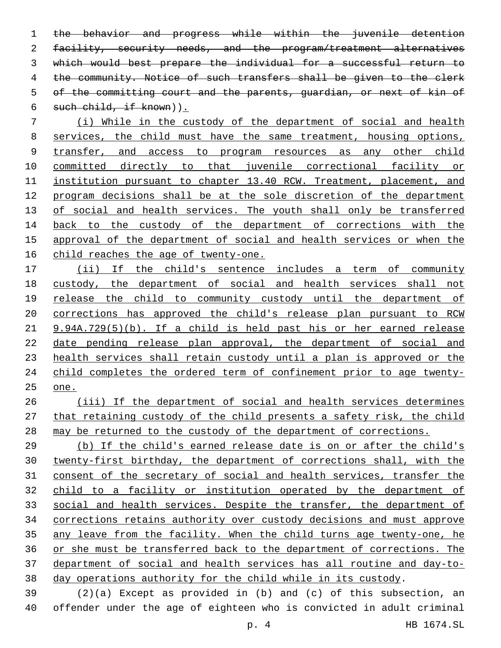the behavior and progress while within the juvenile detention 2 facility, security needs, and the program/treatment alternatives which would best prepare the individual for a successful return to the community. Notice of such transfers shall be given to the clerk of the committing court and the parents, guardian, or next of kin of 6 such child, if  $k$ nown)  $\sum$ 

 (i) While in the custody of the department of social and health services, the child must have the same treatment, housing options, 9 transfer, and access to program resources as any other child committed directly to that juvenile correctional facility or 11 institution pursuant to chapter 13.40 RCW. Treatment, placement, and program decisions shall be at the sole discretion of the department 13 of social and health services. The youth shall only be transferred 14 back to the custody of the department of corrections with the approval of the department of social and health services or when the child reaches the age of twenty-one.

 (ii) If the child's sentence includes a term of community custody, the department of social and health services shall not release the child to community custody until the department of corrections has approved the child's release plan pursuant to RCW 9.94A.729(5)(b). If a child is held past his or her earned release date pending release plan approval, the department of social and 23 health services shall retain custody until a plan is approved or the child completes the ordered term of confinement prior to age twenty-one.

 (iii) If the department of social and health services determines that retaining custody of the child presents a safety risk, the child may be returned to the custody of the department of corrections.

 (b) If the child's earned release date is on or after the child's twenty-first birthday, the department of corrections shall, with the consent of the secretary of social and health services, transfer the child to a facility or institution operated by the department of social and health services. Despite the transfer, the department of corrections retains authority over custody decisions and must approve any leave from the facility. When the child turns age twenty-one, he or she must be transferred back to the department of corrections. The department of social and health services has all routine and day-to-day operations authority for the child while in its custody.

 (2)(a) Except as provided in (b) and (c) of this subsection, an offender under the age of eighteen who is convicted in adult criminal